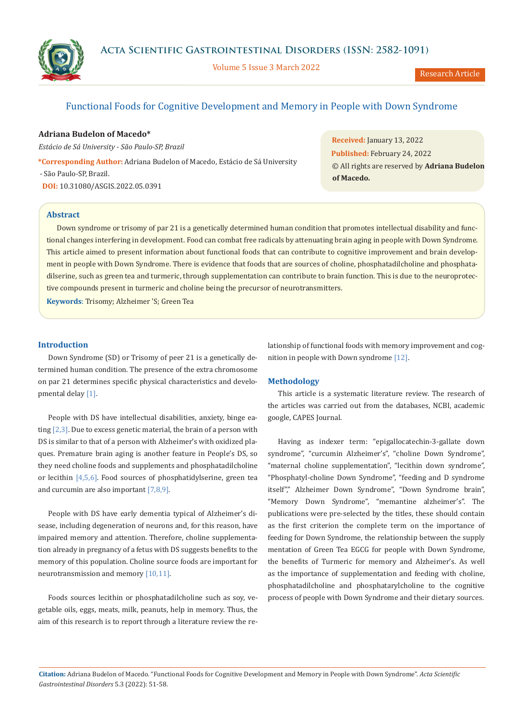**Acta Scientific Gastrointestinal Disorders (ISSN: 2582-1091)**



Volume 5 Issue 3 March 2022

Research Article

# Functional Foods for Cognitive Development and Memory in People with Down Syndrome

## **Adriana Budelon of Macedo\***

*Estácio de Sá University - São Paulo-SP, Brazil*

**\*Corresponding Author:** Adriana Budelon of Macedo, Estácio de Sá University - São Paulo-SP, Brazil. **DOI:** [10.31080/ASGIS.2022.05.0391](https://actascientific.com/ASGIS/pdf/ASGIS-05-0391.pdf)

**Received:** January 13, 2022 **Published:** February 24, 2022 © All rights are reserved by **Adriana Budelon of Macedo.** 

## **Abstract**

Down syndrome or trisomy of par 21 is a genetically determined human condition that promotes intellectual disability and functional changes interfering in development. Food can combat free radicals by attenuating brain aging in people with Down Syndrome. This article aimed to present information about functional foods that can contribute to cognitive improvement and brain development in people with Down Syndrome. There is evidence that foods that are sources of choline, phosphatadilcholine and phosphatadilserine, such as green tea and turmeric, through supplementation can contribute to brain function. This is due to the neuroprotective compounds present in turmeric and choline being the precursor of neurotransmitters.

**Keywords**: Trisomy; Alzheimer 'S; Green Tea

### **Introduction**

Down Syndrome (SD) or Trisomy of peer 21 is a genetically determined human condition. The presence of the extra chromosome on par 21 determines specific physical characteristics and developmental delay [1].

People with DS have intellectual disabilities, anxiety, binge eating  $[2,3]$ . Due to excess genetic material, the brain of a person with DS is similar to that of a person with Alzheimer's with oxidized plaques. Premature brain aging is another feature in People's DS, so they need choline foods and supplements and phosphatadilcholine or lecithin  $[4,5,6]$ . Food sources of phosphatidylserine, green tea and curcumin are also important [7,8,9].

People with DS have early dementia typical of Alzheimer's disease, including degeneration of neurons and, for this reason, have impaired memory and attention. Therefore, choline supplementation already in pregnancy of a fetus with DS suggests benefits to the memory of this population. Choline source foods are important for neurotransmission and memory [10,11].

Foods sources lecithin or phosphatadilcholine such as soy, vegetable oils, eggs, meats, milk, peanuts, help in memory. Thus, the aim of this research is to report through a literature review the relationship of functional foods with memory improvement and cognition in people with Down syndrome [12].

## **Methodology**

This article is a systematic literature review. The research of the articles was carried out from the databases, NCBI, academic google, CAPES Journal.

Having as indexer term: "epigallocatechin-3-gallate down syndrome", "curcumin Alzheimer's", "choline Down Syndrome", "maternal choline supplementation", "lecithin down syndrome", "Phosphatyl-choline Down Syndrome", "feeding and D syndrome itself"," Alzheimer Down Syndrome", "Down Syndrome brain", "Memory Down Syndrome", "memantine alzheimer's". The publications were pre-selected by the titles, these should contain as the first criterion the complete term on the importance of feeding for Down Syndrome, the relationship between the supply mentation of Green Tea EGCG for people with Down Syndrome, the benefits of Turmeric for memory and Alzheimer's. As well as the importance of supplementation and feeding with choline, phosphatadilcholine and phosphatarylcholine to the cognitive process of people with Down Syndrome and their dietary sources.

**Citation:** Adriana Budelon of Macedo*.* "Functional Foods for Cognitive Development and Memory in People with Down Syndrome". *Acta Scientific Gastrointestinal Disorders* 5.3 (2022): 51-58.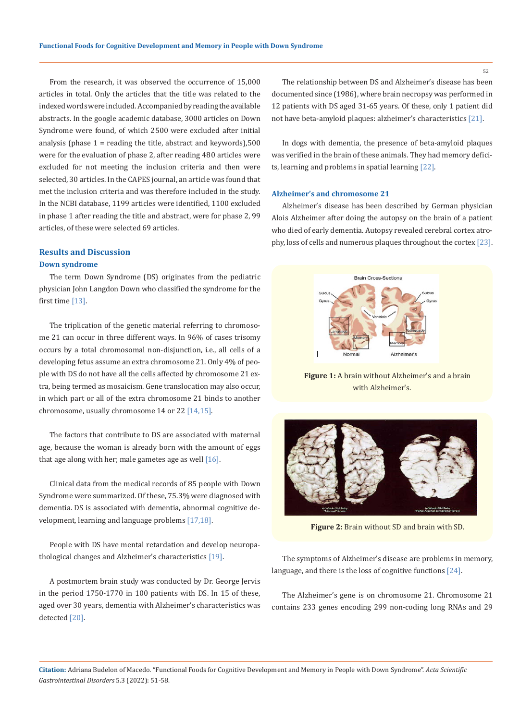From the research, it was observed the occurrence of 15,000 articles in total. Only the articles that the title was related to the indexed words were included. Accompanied by reading the available abstracts. In the google academic database, 3000 articles on Down Syndrome were found, of which 2500 were excluded after initial analysis (phase 1 = reading the title, abstract and keywords),500 were for the evaluation of phase 2, after reading 480 articles were excluded for not meeting the inclusion criteria and then were selected, 30 articles. In the CAPES journal, an article was found that met the inclusion criteria and was therefore included in the study. In the NCBI database, 1199 articles were identified, 1100 excluded in phase 1 after reading the title and abstract, were for phase 2, 99 articles, of these were selected 69 articles.

## **Results and Discussion**

### **Down syndrome**

The term Down Syndrome (DS) originates from the pediatric physician John Langdon Down who classified the syndrome for the first time [13].

The triplication of the genetic material referring to chromosome 21 can occur in three different ways. In 96% of cases trisomy occurs by a total chromosomal non-disjunction, i.e., all cells of a developing fetus assume an extra chromosome 21. Only 4% of people with DS do not have all the cells affected by chromosome 21 extra, being termed as mosaicism. Gene translocation may also occur, in which part or all of the extra chromosome 21 binds to another chromosome, usually chromosome 14 or 22 [14,15].

The factors that contribute to DS are associated with maternal age, because the woman is already born with the amount of eggs that age along with her; male gametes age as well  $[16]$ .

Clinical data from the medical records of 85 people with Down Syndrome were summarized. Of these, 75.3% were diagnosed with dementia. DS is associated with dementia, abnormal cognitive development, learning and language problems [17,18].

People with DS have mental retardation and develop neuropathological changes and Alzheimer's characteristics [19].

A postmortem brain study was conducted by Dr. George Jervis in the period 1750-1770 in 100 patients with DS. In 15 of these, aged over 30 years, dementia with Alzheimer's characteristics was detected [20].

The relationship between DS and Alzheimer's disease has been documented since (1986), where brain necropsy was performed in 12 patients with DS aged 31-65 years. Of these, only 1 patient did not have beta-amyloid plaques: alzheimer's characteristics [21].

In dogs with dementia, the presence of beta-amyloid plaques was verified in the brain of these animals. They had memory deficits, learning and problems in spatial learning [22].

### **Alzheimer's and chromosome 21**

Alzheimer's disease has been described by German physician Alois Alzheimer after doing the autopsy on the brain of a patient who died of early dementia. Autopsy revealed cerebral cortex atrophy, loss of cells and numerous plaques throughout the cortex [23].



**Figure 1:** A brain without Alzheimer's and a brain with Alzheimer's.



**Figure 2:** Brain without SD and brain with SD.

The symptoms of Alzheimer's disease are problems in memory, language, and there is the loss of cognitive functions [24].

The Alzheimer's gene is on chromosome 21. Chromosome 21 contains 233 genes encoding 299 non-coding long RNAs and 29

52

**Citation:** Adriana Budelon of Macedo*.* "Functional Foods for Cognitive Development and Memory in People with Down Syndrome". *Acta Scientific Gastrointestinal Disorders* 5.3 (2022): 51-58.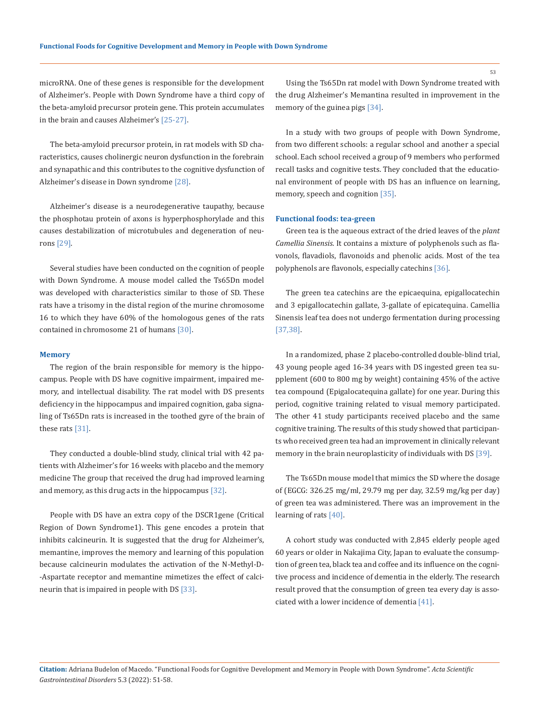microRNA. One of these genes is responsible for the development of Alzheimer's. People with Down Syndrome have a third copy of the beta-amyloid precursor protein gene. This protein accumulates in the brain and causes Alzheimer's [25-27].

The beta-amyloid precursor protein, in rat models with SD characteristics, causes cholinergic neuron dysfunction in the forebrain and synapathic and this contributes to the cognitive dysfunction of Alzheimer's disease in Down syndrome [28].

Alzheimer's disease is a neurodegenerative taupathy, because the phosphotau protein of axons is hyperphosphorylade and this causes destabilization of microtubules and degeneration of neurons [29].

Several studies have been conducted on the cognition of people with Down Syndrome. A mouse model called the Ts65Dn model was developed with characteristics similar to those of SD. These rats have a trisomy in the distal region of the murine chromosome 16 to which they have 60% of the homologous genes of the rats contained in chromosome 21 of humans [30].

#### **Memory**

The region of the brain responsible for memory is the hippocampus. People with DS have cognitive impairment, impaired memory, and intellectual disability. The rat model with DS presents deficiency in the hippocampus and impaired cognition, gaba signaling of Ts65Dn rats is increased in the toothed gyre of the brain of these rats [31].

They conducted a double-blind study, clinical trial with 42 patients with Alzheimer's for 16 weeks with placebo and the memory medicine The group that received the drug had improved learning and memory, as this drug acts in the hippocampus [32].

People with DS have an extra copy of the DSCR1gene (Critical Region of Down Syndrome1). This gene encodes a protein that inhibits calcineurin. It is suggested that the drug for Alzheimer's, memantine, improves the memory and learning of this population because calcineurin modulates the activation of the N-Methyl-D- -Aspartate receptor and memantine mimetizes the effect of calcineurin that is impaired in people with DS [33].

Using the Ts65Dn rat model with Down Syndrome treated with the drug Alzheimer's Memantina resulted in improvement in the memory of the guinea pigs [34].

In a study with two groups of people with Down Syndrome, from two different schools: a regular school and another a special school. Each school received a group of 9 members who performed recall tasks and cognitive tests. They concluded that the educational environment of people with DS has an influence on learning, memory, speech and cognition [35].

## **Functional foods: tea-green**

Green tea is the aqueous extract of the dried leaves of the *plant Camellia Sinensis*. It contains a mixture of polyphenols such as flavonols, flavadiols, flavonoids and phenolic acids. Most of the tea polyphenols are flavonols, especially catechins [36].

The green tea catechins are the epicaequina, epigallocatechin and 3 epigallocatechin gallate, 3-gallate of epicatequina. Camellia Sinensis leaf tea does not undergo fermentation during processing [37,38].

In a randomized, phase 2 placebo-controlled double-blind trial, 43 young people aged 16-34 years with DS ingested green tea supplement (600 to 800 mg by weight) containing 45% of the active tea compound (Epigalocatequina gallate) for one year. During this period, cognitive training related to visual memory participated. The other 41 study participants received placebo and the same cognitive training. The results of this study showed that participants who received green tea had an improvement in clinically relevant memory in the brain neuroplasticity of individuals with DS [39].

The Ts65Dn mouse model that mimics the SD where the dosage of (EGCG: 326.25 mg/ml, 29.79 mg per day, 32.59 mg/kg per day) of green tea was administered. There was an improvement in the learning of rats [40].

A cohort study was conducted with 2,845 elderly people aged 60 years or older in Nakajima City, Japan to evaluate the consumption of green tea, black tea and coffee and its influence on the cognitive process and incidence of dementia in the elderly. The research result proved that the consumption of green tea every day is associated with a lower incidence of dementia [41].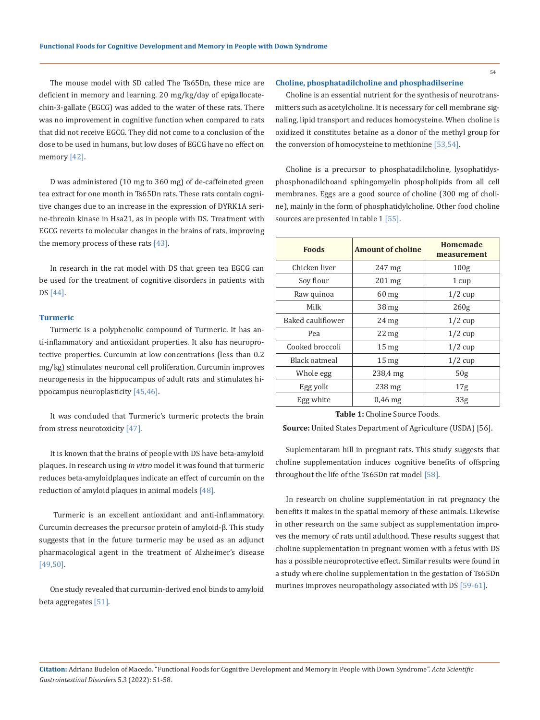The mouse model with SD called The Ts65Dn, these mice are deficient in memory and learning. 20 mg/kg/day of epigallocatechin-3-gallate (EGCG) was added to the water of these rats. There was no improvement in cognitive function when compared to rats that did not receive EGCG. They did not come to a conclusion of the dose to be used in humans, but low doses of EGCG have no effect on memory [42].

D was administered (10 mg to 360 mg) of de-caffeineted green tea extract for one month in Ts65Dn rats. These rats contain cognitive changes due to an increase in the expression of DYRK1A serine-threoin kinase in Hsa21, as in people with DS. Treatment with EGCG reverts to molecular changes in the brains of rats, improving the memory process of these rats  $[43]$ .

In research in the rat model with DS that green tea EGCG can be used for the treatment of cognitive disorders in patients with DS [44].

### **Turmeric**

Turmeric is a polyphenolic compound of Turmeric. It has anti-inflammatory and antioxidant properties. It also has neuroprotective properties. Curcumin at low concentrations (less than 0.2 mg/kg) stimulates neuronal cell proliferation. Curcumin improves neurogenesis in the hippocampus of adult rats and stimulates hippocampus neuroplasticity [45,46].

It was concluded that Turmeric's turmeric protects the brain from stress neurotoxicity [47].

It is known that the brains of people with DS have beta-amyloid plaques. In research using *in vitro* model it was found that turmeric reduces beta-amyloidplaques indicate an effect of curcumin on the reduction of amyloid plaques in animal models [48].

 Turmeric is an excellent antioxidant and anti-inflammatory. Curcumin decreases the precursor protein of amyloid-β. This study suggests that in the future turmeric may be used as an adjunct pharmacological agent in the treatment of Alzheimer's disease [49,50].

One study revealed that curcumin-derived enol binds to amyloid beta aggregates [51].

### **Choline, phosphatadilcholine and phosphadilserine**

Choline is an essential nutrient for the synthesis of neurotransmitters such as acetylcholine. It is necessary for cell membrane signaling, lipid transport and reduces homocysteine. When choline is oxidized it constitutes betaine as a donor of the methyl group for the conversion of homocysteine to methionine [53,54].

Choline is a precursor to phosphatadilcholine, lysophatidysphosphonadilchoand sphingomyelin phospholipids from all cell membranes. Eggs are a good source of choline (300 mg of choline), mainly in the form of phosphatidylcholine. Other food choline sources are presented in table 1 [55].

| <b>Foods</b>      | <b>Amount of choline</b> | <b>Homemade</b><br>measurement |
|-------------------|--------------------------|--------------------------------|
| Chicken liver     | $247 \text{ mg}$         | 100 <sub>g</sub>               |
| Soy flour         | $201 \text{ mg}$         | 1 cup                          |
| Raw quinoa        | $60$ mg                  | $1/2$ cup                      |
| Milk              | 38 <sub>mg</sub>         | 260 <sub>g</sub>               |
| Baked cauliflower | $24 \text{ mg}$          | $1/2$ cup                      |
| Pea               | $22 \text{ mg}$          | $1/2$ cup                      |
| Cooked broccoli   | 15 <sub>mg</sub>         | $1/2$ cup                      |
| Black oatmeal     | 15 <sub>mg</sub>         | $1/2$ cup                      |
| Whole egg         | 238,4 mg                 | 50 <sub>g</sub>                |
| Egg yolk          | $238$ mg                 | 17 <sub>g</sub>                |
| Egg white         | $0.46$ mg                | 33 <sub>g</sub>                |

**Table 1:** Choline Source Foods.

**Source:** United States Department of Agriculture (USDA) [56].

Suplementaram hill in pregnant rats. This study suggests that choline supplementation induces cognitive benefits of offspring throughout the life of the Ts65Dn rat model [58].

In research on choline supplementation in rat pregnancy the benefits it makes in the spatial memory of these animals. Likewise in other research on the same subject as supplementation improves the memory of rats until adulthood. These results suggest that choline supplementation in pregnant women with a fetus with DS has a possible neuroprotective effect. Similar results were found in a study where choline supplementation in the gestation of Ts65Dn murines improves neuropathology associated with DS [59-61].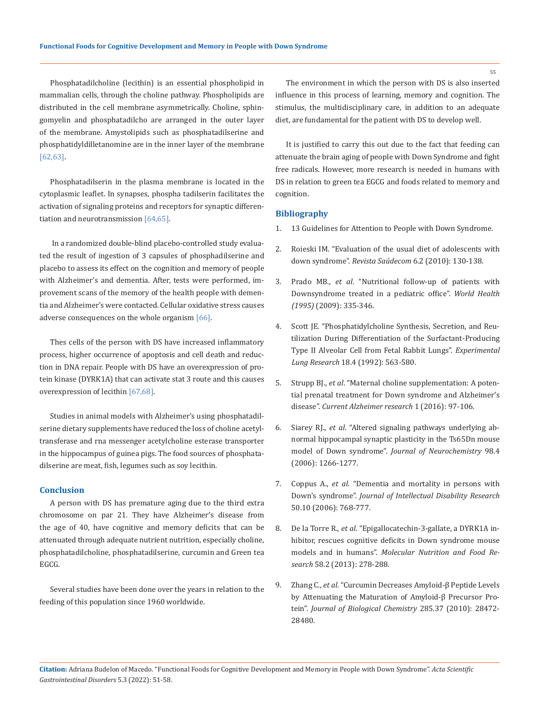Phosphatadilcholine (lecithin) is an essential phospholipid in mammalian cells, through the choline pathway. Phospholipids are distributed in the cell membrane asymmetrically. Choline, sphingomyelin and phosphatadilcho are arranged in the outer layer of the membrane. Amystolipids such as phosphatadilserine and phosphatidyldilletanomine are in the inner layer of the membrane [62,63].

Phosphatadilserin in the plasma membrane is located in the cytoplasmic leaflet. In synapses, phospha tadilserin facilitates the activation of signaling proteins and receptors for synaptic differentiation and neurotransmission [64,65].

 In a randomized double-blind placebo-controlled study evaluated the result of ingestion of 3 capsules of phosphadilserine and placebo to assess its effect on the cognition and memory of people with Alzheimer's and dementia. After, tests were performed, improvement scans of the memory of the health people with dementia and Alzheimer's were contacted. Cellular oxidative stress causes adverse consequences on the whole organism [66].

Thes cells of the person with DS have increased inflammatory process, higher occurrence of apoptosis and cell death and reduction in DNA repair. People with DS have an overexpression of protein kinase (DYRK1A) that can activate stat 3 route and this causes overexpression of lecithin [67,68].

Studies in animal models with Alzheimer's using phosphatadilserine dietary supplements have reduced the loss of choline acetyltransferase and rna messenger acetylcholine esterase transporter in the hippocampus of guinea pigs. The food sources of phosphatadilserine are meat, fish, legumes such as soy lecithin.

## **Conclusion**

A person with DS has premature aging due to the third extra chromosome on par 21. They have Alzheimer's disease from the age of 40, have cognitive and memory deficits that can be attenuated through adequate nutrient nutrition, especially choline, phosphatadilcholine, phosphatadilserine, curcumin and Green tea EGCG.

Several studies have been done over the years in relation to the feeding of this population since 1960 worldwide.

The environment in which the person with DS is also inserted influence in this process of learning, memory and cognition. The stimulus, the multidisciplinary care, in addition to an adequate diet, are fundamental for the patient with DS to develop well.

It is justified to carry this out due to the fact that feeding can attenuate the brain aging of people with Down Syndrome and fight free radicals. However, more research is needed in humans with DS in relation to green tea EGCG and foods related to memory and cognition.

## **Bibliography**

- 1. 13 Guidelines for Attention to People with Down Syndrome.
- 2. Roieski IM. "Evaluation of the usual diet of adolescents with down syndrome". *Revista Saúdecom* 6.2 (2010): 130-138.
- 3. Prado MB., *et al*. "Nutritional follow-up of patients with Downsyndrome treated in a pediatric office". *World Health (1995)* (2009): 335-346.
- 4. [Scott JE. "Phosphatidylcholine Synthesis, Secretion, and Reu](https://pubmed.ncbi.nlm.nih.gov/1516573/)[tilization During Differentiation of the Surfactant-Producing](https://pubmed.ncbi.nlm.nih.gov/1516573/) [Type II Alveolar Cell from Fetal Rabbit Lungs".](https://pubmed.ncbi.nlm.nih.gov/1516573/) *Experimental Lung Research* [18.4 \(1992\): 563-580.](https://pubmed.ncbi.nlm.nih.gov/1516573/)
- 5. Strupp BJ., *et al*[. "Maternal choline supplementation: A poten](https://pubmed.ncbi.nlm.nih.gov/26391046/)[tial prenatal treatment for Down syndrome and Alzheimer's](https://pubmed.ncbi.nlm.nih.gov/26391046/) disease". *[Current Alzheimer research](https://pubmed.ncbi.nlm.nih.gov/26391046/)* 1 (2016): 97-106.
- 6. Siarey RJ., *et al*[. "Altered signaling pathways underlying ab](https://pubmed.ncbi.nlm.nih.gov/16895585/)[normal hippocampal synaptic plasticity in the Ts65Dn mouse](https://pubmed.ncbi.nlm.nih.gov/16895585/)  model of Down syndrome". *[Journal of Neurochemistry](https://pubmed.ncbi.nlm.nih.gov/16895585/)* 98.4 [\(2006\): 1266-1277.](https://pubmed.ncbi.nlm.nih.gov/16895585/)
- 7. Coppus A., *et al*[. "Dementia and mortality in persons with](https://pubmed.ncbi.nlm.nih.gov/16961706/)  Down's syndrome". *[Journal of Intellectual](https://pubmed.ncbi.nlm.nih.gov/16961706/) Disability Research* [50.10 \(2006\): 768-777.](https://pubmed.ncbi.nlm.nih.gov/16961706/)
- 8. De la Torre R., *et al*[. "Epigallocatechin-3-gallate, a DYRK1A in](https://pubmed.ncbi.nlm.nih.gov/24039182/)[hibitor, rescues cognitive deficits in Down syndrome mouse](https://pubmed.ncbi.nlm.nih.gov/24039182/) models and in humans". *[Molecular Nutrition and Food Re](https://pubmed.ncbi.nlm.nih.gov/24039182/)search* [58.2 \(2013\): 278-288.](https://pubmed.ncbi.nlm.nih.gov/24039182/)
- 9. Zhang C., *et al*[. "Curcumin Decreases Amyloid-β Peptide Levels](https://pubmed.ncbi.nlm.nih.gov/20622013/) [by Attenuating the Maturation of Amyloid-β Precursor Pro](https://pubmed.ncbi.nlm.nih.gov/20622013/)tein". *[Journal of Biological Chemistry](https://pubmed.ncbi.nlm.nih.gov/20622013/)* 285.37 (2010): 28472- [28480.](https://pubmed.ncbi.nlm.nih.gov/20622013/)

**Citation:** Adriana Budelon of Macedo*.* "Functional Foods for Cognitive Development and Memory in People with Down Syndrome". *Acta Scientific Gastrointestinal Disorders* 5.3 (2022): 51-58.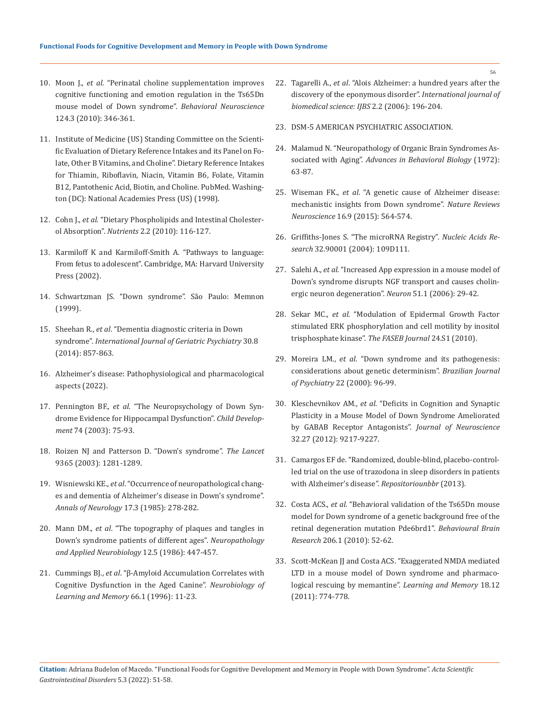- 10. Moon J., *et al*[. "Perinatal choline supplementation improves](https://pubmed.ncbi.nlm.nih.gov/20528079/) [cognitive functioning and emotion regulation in the Ts65Dn](https://pubmed.ncbi.nlm.nih.gov/20528079/) [mouse model of Down syndrome".](https://pubmed.ncbi.nlm.nih.gov/20528079/) *Behavioral Neuroscience* [124.3 \(2010\): 346-361.](https://pubmed.ncbi.nlm.nih.gov/20528079/)
- 11. [Institute of Medicine \(US\) Standing Committee on the Scienti](https://pubmed.ncbi.nlm.nih.gov/23193625/)[fic Evaluation of Dietary Reference Intakes and its Panel on Fo](https://pubmed.ncbi.nlm.nih.gov/23193625/)[late, Other B Vitamins, and Choline". Dietary Reference Intakes](https://pubmed.ncbi.nlm.nih.gov/23193625/) [for Thiamin, Riboflavin, Niacin, Vitamin B6, Folate, Vitamin](https://pubmed.ncbi.nlm.nih.gov/23193625/) [B12, Pantothenic Acid, Biotin, and Choline. PubMed. Washing](https://pubmed.ncbi.nlm.nih.gov/23193625/)[ton \(DC\): National Academies Press \(US\) \(1998\).](https://pubmed.ncbi.nlm.nih.gov/23193625/)
- 12. Cohn J., *et al*[. "Dietary Phospholipids and Intestinal Cholester](https://www.ncbi.nlm.nih.gov/pmc/articles/PMC3257636/)ol Absorption". *Nutrients* [2.2 \(2010\): 116-127.](https://www.ncbi.nlm.nih.gov/pmc/articles/PMC3257636/)
- 13. [Karmiloff K and Karmiloff-Smith A. "Pathways to language:](https://psycnet.apa.org/record/2001-00535-000) [From fetus to adolescent". Cambridge, MA: Harvard University](https://psycnet.apa.org/record/2001-00535-000) [Press \(2002\).](https://psycnet.apa.org/record/2001-00535-000)
- 14. Schwartzman JS. "Down syndrome". São Paulo: Memnon (1999).
- 15. Sheehan R., *et al*[. "Dementia diagnostic criteria in Down](https://pubmed.ncbi.nlm.nih.gov/25363568/)  syndrome". *[International Journal of](https://pubmed.ncbi.nlm.nih.gov/25363568/) Geriatric Psychiatry* 30.8 [\(2014\): 857-863.](https://pubmed.ncbi.nlm.nih.gov/25363568/)
- 16. [Alzheimer's disease: Pathophysiological and pharmacological](https://medcraveonline.com/JAPLR/pathophysiology-and-management-of-alzheimerrsquos-disease-an-overview.html) [aspects \(2022\).](https://medcraveonline.com/JAPLR/pathophysiology-and-management-of-alzheimerrsquos-disease-an-overview.html)
- 17. Pennington BF., *et al*[. "The Neuropsychology of Down Syn](https://pubmed.ncbi.nlm.nih.gov/12625437/)[drome Evidence for Hippocampal Dysfunction".](https://pubmed.ncbi.nlm.nih.gov/12625437/) *Child Development* [74 \(2003\): 75-93.](https://pubmed.ncbi.nlm.nih.gov/12625437/)
- 18. [Roizen NJ and Patterson D. "Down's syndrome".](https://www.thelancet.com/journals/lancet/article/PIIS0140-6736(03)12987-X/references) *The Lancet* [9365 \(2003\): 1281-1289.](https://www.thelancet.com/journals/lancet/article/PIIS0140-6736(03)12987-X/references)
- 19. Wisniewski KE., *et al*[. "Occurrence of neuropathological chang](https://pubmed.ncbi.nlm.nih.gov/3158266/)[es and dementia of Alzheimer's disease in Down's syndrome".](https://pubmed.ncbi.nlm.nih.gov/3158266/) *[Annals of Neurology](https://pubmed.ncbi.nlm.nih.gov/3158266/)* 17.3 (1985): 278-282.
- 20. Mann DM., *et al*[. "The topography of plaques and tangles in](file:///C:/Users/DELL/Desktop/07-02-2022/PDF/ASGIS/ASGIS-22-RA-004/V) [Down's syndrome patients of different ages".](file:///C:/Users/DELL/Desktop/07-02-2022/PDF/ASGIS/ASGIS-22-RA-004/V) *Neuropathology [and Applied Neurobiology](file:///C:/Users/DELL/Desktop/07-02-2022/PDF/ASGIS/ASGIS-22-RA-004/V)* 12.5 (1986): 447-457.
- 21. Cummings BJ., *et al*[. "β-Amyloid Accumulation Correlates with](https://pubmed.ncbi.nlm.nih.gov/8661247/) [Cognitive Dysfunction in the Aged Canine".](https://pubmed.ncbi.nlm.nih.gov/8661247/) *Neurobiology of [Learning and Memory](https://pubmed.ncbi.nlm.nih.gov/8661247/)* 66.1 (1996): 11-23.
- 22. Tagarelli A., *et al*[. "Alois Alzheimer: a hundred years after the](https://pubmed.ncbi.nlm.nih.gov/23674983/) [discovery of the eponymous disorder".](https://pubmed.ncbi.nlm.nih.gov/23674983/) *International journal of [biomedical science: IJBS](https://pubmed.ncbi.nlm.nih.gov/23674983/)* 2.2 (2006): 196-204.
- 23. [DSM-5 AMERICAN PSYCHIATRIC ASSOCIATION.](http://dislex.co.pt/images/pdfs/DSM_V.pdf)
- 24. [Malamud N. "Neuropathology of Organic Brain Syndromes As](https://www.semanticscholar.org/paper/Neuropathology-of-Organic-Brain-Syndromes-with-Malamud/ca17fce3cbd7588c481b4483dd6ce2799ebf2e70)sociated with Aging". *Advances in [Behavioral Biology](https://www.semanticscholar.org/paper/Neuropathology-of-Organic-Brain-Syndromes-with-Malamud/ca17fce3cbd7588c481b4483dd6ce2799ebf2e70)* (1972): [63-87.](https://www.semanticscholar.org/paper/Neuropathology-of-Organic-Brain-Syndromes-with-Malamud/ca17fce3cbd7588c481b4483dd6ce2799ebf2e70)
- 25. Wiseman FK., *et al*[. "A genetic cause of Alzheimer disease:](https://pubmed.ncbi.nlm.nih.gov/26243569/) [mechanistic insights from Down syndrome".](https://pubmed.ncbi.nlm.nih.gov/26243569/) *Nature Reviews Neuroscience* [16.9 \(2015\): 564-574.](https://pubmed.ncbi.nlm.nih.gov/26243569/)
- 26. [Griffiths-Jones S. "The microRNA Registry".](https://pubmed.ncbi.nlm.nih.gov/14681370/) *Nucleic Acids Research* [32.90001 \(2004\): 109D111.](https://pubmed.ncbi.nlm.nih.gov/14681370/)
- 27. Salehi A., *et al*[. "Increased App expression in a mouse model of](https://pubmed.ncbi.nlm.nih.gov/16815330/)  [Down's syndrome disrupts NGF transport and causes cholin](https://pubmed.ncbi.nlm.nih.gov/16815330/)[ergic neuron degeneration".](https://pubmed.ncbi.nlm.nih.gov/16815330/) *Neuron* 51.1 (2006): 29-42.
- 28. Sekar MC., *et al*[. "Modulation of Epidermal Growth Factor](https://pubmed.ncbi.nlm.nih.gov/26213696/)  [stimulated ERK phosphorylation and cell motility by inositol](https://pubmed.ncbi.nlm.nih.gov/26213696/)  [trisphosphate kinase".](https://pubmed.ncbi.nlm.nih.gov/26213696/) *The FASEB Journal* 24.S1 (2010).
- 29. Moreira LM., *et al*[. "Down syndrome and its pathogenesis:](https://www.researchgate.net/publication/262596900_Down_syndrome_and_its_pathogenesis_considerations_about_genetic_determinism) [considerations about genetic determinism".](https://www.researchgate.net/publication/262596900_Down_syndrome_and_its_pathogenesis_considerations_about_genetic_determinism) *Brazilian Journal of Psychiatry* [22 \(2000\): 96-99.](https://www.researchgate.net/publication/262596900_Down_syndrome_and_its_pathogenesis_considerations_about_genetic_determinism)
- 30. Kleschevnikov AM., *et al*[. "Deficits in Cognition and Synaptic](https://pubmed.ncbi.nlm.nih.gov/22764230/)  [Plasticity in a Mouse Model of Down Syndrome Ameliorated](https://pubmed.ncbi.nlm.nih.gov/22764230/)  [by GABAB Receptor Antagonists".](https://pubmed.ncbi.nlm.nih.gov/22764230/) *Journal of Neuroscience* [32.27 \(2012\): 9217-9227.](https://pubmed.ncbi.nlm.nih.gov/22764230/)
- 31. Camargos EF de. "Randomized, double-blind, placebo-controlled trial on the use of trazodona in sleep disorders in patients with Alzheimer's disease". *Repositoriounbbr* (2013).
- 32. Costa ACS., *et al*[. "Behavioral validation of the Ts65Dn mouse](https://pubmed.ncbi.nlm.nih.gov/19720087/) [model for Down syndrome of a genetic background free of the](https://pubmed.ncbi.nlm.nih.gov/19720087/) [retinal degeneration mutation Pde6brd1".](https://pubmed.ncbi.nlm.nih.gov/19720087/) *Behavioural Brain Research* [206.1 \(2010\): 52-62.](https://pubmed.ncbi.nlm.nih.gov/19720087/)
- 33. [Scott-McKean JJ and Costa ACS. "Exaggerated NMDA mediated](https://pubmed.ncbi.nlm.nih.gov/22101180/) [LTD in a mouse model of Down syndrome and pharmaco](https://pubmed.ncbi.nlm.nih.gov/22101180/)[logical rescuing by memantine".](https://pubmed.ncbi.nlm.nih.gov/22101180/) *Learning and Memory* 18.12 [\(2011\): 774-778.](https://pubmed.ncbi.nlm.nih.gov/22101180/)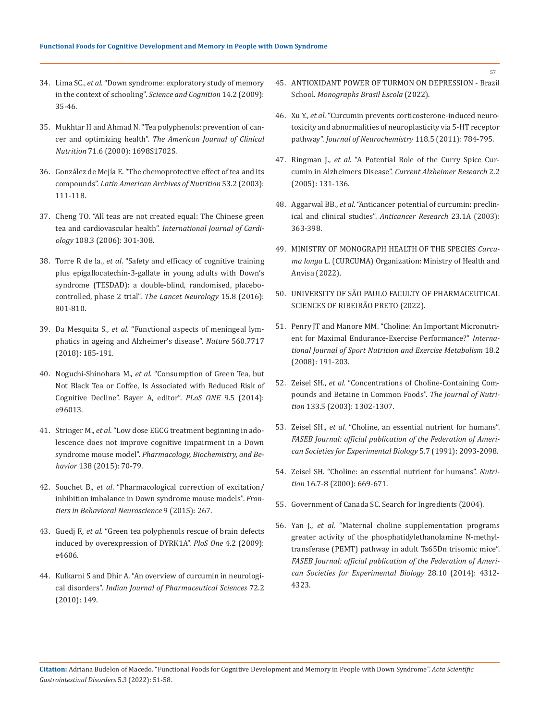- 34. Lima SC., *et al*[. "Down syndrome: exploratory study of memory](https://www.semanticscholar.org/paper/Down-Syndrome%3A-exploratory-study-of-memory-in-the-Lima-Sousa/7c4d41e0ea79d50446a3d6b7f43c1951f644e17e) [in the context of schooling".](https://www.semanticscholar.org/paper/Down-Syndrome%3A-exploratory-study-of-memory-in-the-Lima-Sousa/7c4d41e0ea79d50446a3d6b7f43c1951f644e17e) *Science and Cognition* 14.2 (2009): [35-46.](https://www.semanticscholar.org/paper/Down-Syndrome%3A-exploratory-study-of-memory-in-the-Lima-Sousa/7c4d41e0ea79d50446a3d6b7f43c1951f644e17e)
- 35. [Mukhtar H and Ahmad N. "Tea polyphenols: prevention of can](https://pubmed.ncbi.nlm.nih.gov/10837321/)cer and optimizing health". *The [American Journal of Clinical](https://pubmed.ncbi.nlm.nih.gov/10837321/) Nutrition* [71.6 \(2000\): 1698S1702S.](https://pubmed.ncbi.nlm.nih.gov/10837321/)
- 36. [González de Mejía E. "The chemoprotective effect of tea and its](https://www.researchgate.net/publication/297408821_The_chemo-preventive_effect_of_tea_and_its_components) compounds". *Latin American [Archives of Nutrition](https://www.researchgate.net/publication/297408821_The_chemo-preventive_effect_of_tea_and_its_components)* 53.2 (2003): [111-118.](https://www.researchgate.net/publication/297408821_The_chemo-preventive_effect_of_tea_and_its_components)
- 37. [Cheng TO. "All teas are not created equal: The Chinese green](https://pubmed.ncbi.nlm.nih.gov/15978686/) tea and cardiovascular health". *[International Journal of Cardi](https://pubmed.ncbi.nlm.nih.gov/15978686/)ology* [108.3 \(2006\): 301-308.](https://pubmed.ncbi.nlm.nih.gov/15978686/)
- 38. Torre R de la., *et al*[. "Safety and efficacy of cognitive training](https://pubmed.ncbi.nlm.nih.gov/27302362/) [plus epigallocatechin-3-gallate in young adults with Down's](https://pubmed.ncbi.nlm.nih.gov/27302362/) [syndrome \(TESDAD\): a double-blind, randomised, placebo](https://pubmed.ncbi.nlm.nih.gov/27302362/)[controlled, phase 2 trial".](https://pubmed.ncbi.nlm.nih.gov/27302362/) *The Lancet Neurology* 15.8 (2016): [801-810.](https://pubmed.ncbi.nlm.nih.gov/27302362/)
- 39. Da Mesquita S., *et al*[. "Functional aspects of meningeal lym](https://pubmed.ncbi.nlm.nih.gov/30046111/)[phatics in ageing and Alzheimer's disease".](https://pubmed.ncbi.nlm.nih.gov/30046111/) *Nature* 560.7717 [\(2018\): 185-191.](https://pubmed.ncbi.nlm.nih.gov/30046111/)
- 40. Noguchi-Shinohara M., *et al*[. "Consumption of Green Tea, but](https://pubmed.ncbi.nlm.nih.gov/24828424/) [Not Black Tea or Coffee, Is Associated with Reduced Risk of](https://pubmed.ncbi.nlm.nih.gov/24828424/) [Cognitive Decline". Bayer A, editor".](https://pubmed.ncbi.nlm.nih.gov/24828424/) *PLoS ONE* 9.5 (2014): [e96013.](https://pubmed.ncbi.nlm.nih.gov/24828424/)
- 41. Stringer M., *et al*[. "Low dose EGCG treatment beginning in ado](https://pubmed.ncbi.nlm.nih.gov/26363314/)[lescence does not improve cognitive impairment in a Down](https://pubmed.ncbi.nlm.nih.gov/26363314/) syndrome mouse model". *[Pharmacology, Biochemistry, and Be](https://pubmed.ncbi.nlm.nih.gov/26363314/)havior* [138 \(2015\): 70-79.](https://pubmed.ncbi.nlm.nih.gov/26363314/)
- 42. Souchet B., *et al*[. "Pharmacological correction of excitation/](https://pubmed.ncbi.nlm.nih.gov/26539088/) [inhibition imbalance in Down syndrome mouse models".](https://pubmed.ncbi.nlm.nih.gov/26539088/) *Fron[tiers in Behavioral Neuroscience](https://pubmed.ncbi.nlm.nih.gov/26539088/)* 9 (2015): 267.
- 43. Guedj F., *et al*[. "Green tea polyphenols rescue of brain defects](https://pubmed.ncbi.nlm.nih.gov/19242551/) [induced by overexpression of DYRK1A".](https://pubmed.ncbi.nlm.nih.gov/19242551/) *PloS One* 4.2 (2009): [e4606.](https://pubmed.ncbi.nlm.nih.gov/19242551/)
- 44. [Kulkarni S and Dhir A. "An overview of curcumin in neurologi](https://pubmed.ncbi.nlm.nih.gov/20838516/)cal disorders". *Indian Journal of [Pharmaceutical Sciences](https://pubmed.ncbi.nlm.nih.gov/20838516/)* 72.2 [\(2010\): 149.](https://pubmed.ncbi.nlm.nih.gov/20838516/)
- 45. [ANTIOXIDANT POWER OF TURMON ON DEPRESSION Brazil](https://monografias.brasilescola.uol.com.br/saude/poder-antioxidante-curcuma-sobre-depressao.htm)  School. *[Monographs Brasil Escola](https://monografias.brasilescola.uol.com.br/saude/poder-antioxidante-curcuma-sobre-depressao.htm)* (2022).
- 46. Xu Y., *et al*[. "Curcumin prevents corticosterone-induced neuro](https://pubmed.ncbi.nlm.nih.gov/21689105/)[toxicity and abnormalities of neuroplasticity via 5-HT receptor](https://pubmed.ncbi.nlm.nih.gov/21689105/)  pathway". *[Journal of Neurochemistry](https://pubmed.ncbi.nlm.nih.gov/21689105/)* 118.5 (2011): 784-795.
- 47. Ringman J., *et al*[. "A Potential Role of the Curry Spice Cur](https://pubmed.ncbi.nlm.nih.gov/15974909/)[cumin in Alzheimers Disease".](https://pubmed.ncbi.nlm.nih.gov/15974909/) *Current Alzheimer Research* 2.2 [\(2005\): 131-136.](https://pubmed.ncbi.nlm.nih.gov/15974909/)
- 48. Aggarwal BB., *et al*[. "Anticancer potential of curcumin: preclin](https://pubmed.ncbi.nlm.nih.gov/12680238/)[ical and clinical studies".](https://pubmed.ncbi.nlm.nih.gov/12680238/) *Anticancer Research* 23.1A (2003): [363-398.](https://pubmed.ncbi.nlm.nih.gov/12680238/)
- 49. [MINISTRY OF MONOGRAPH HEALTH OF THE SPECIES](https://www.gov.br/saude/pt-br/composicao/sctie/daf/plantas-medicinais-e-fitoterapicas/ppnpmf/arquivos/2016/MonografiaCurcumaCPcorrigida.pdf) *Curcuma longa* [L. \(CURCUMA\) Organization: Ministry of Health and](https://www.gov.br/saude/pt-br/composicao/sctie/daf/plantas-medicinais-e-fitoterapicas/ppnpmf/arquivos/2016/MonografiaCurcumaCPcorrigida.pdf)  [Anvisa \(2022\).](https://www.gov.br/saude/pt-br/composicao/sctie/daf/plantas-medicinais-e-fitoterapicas/ppnpmf/arquivos/2016/MonografiaCurcumaCPcorrigida.pdf)
- 50. [UNIVERSITY OF SÃO PAULO FACULTY OF PHARMACEUTICAL](https://www.teses.usp.br/teses/disponiveis/60/60134/tde-10012013-160441/publico/Tese_simplificada_corrigida.pdf) [SCIENCES OF RIBEIRÃO PRETO \(2022\).](https://www.teses.usp.br/teses/disponiveis/60/60134/tde-10012013-160441/publico/Tese_simplificada_corrigida.pdf)
- 51. [Penry JT and Manore MM. "Choline: An Important Micronutri](https://pubmed.ncbi.nlm.nih.gov/18458362/)[ent for Maximal Endurance-Exercise Performance?"](https://pubmed.ncbi.nlm.nih.gov/18458362/) *Interna[tional Journal of Sport Nutrition and Exercise Metabolism](https://pubmed.ncbi.nlm.nih.gov/18458362/)* 18.2 [\(2008\): 191-203.](https://pubmed.ncbi.nlm.nih.gov/18458362/)
- 52. Zeisel SH., *et al*[. "Concentrations of Choline-Containing Com](https://pubmed.ncbi.nlm.nih.gov/12730414/)[pounds and Betaine in Common Foods".](https://pubmed.ncbi.nlm.nih.gov/12730414/) *The Journal of Nutrition* [133.5 \(2003\): 1302-1307.](https://pubmed.ncbi.nlm.nih.gov/12730414/)
- 53. Zeisel SH., *et al*[. "Choline, an essential nutrient for humans".](https://pubmed.ncbi.nlm.nih.gov/2010061/)  *[FASEB Journal: official publication of](https://pubmed.ncbi.nlm.nih.gov/2010061/) the Federation of Ameri[can Societies for Experimental Biology](https://pubmed.ncbi.nlm.nih.gov/2010061/)* 5.7 (1991): 2093-2098.
- 54. [Zeisel SH. "Choline: an essential nutrient for humans".](https://pubmed.ncbi.nlm.nih.gov/10906592/) *Nutrition* [16.7-8 \(2000\): 669-671.](https://pubmed.ncbi.nlm.nih.gov/10906592/)
- 55. Government of Canada SC. Search for Ingredients (2004).
- 56. Yan J., *et al*[. "Maternal choline supplementation programs](https://pubmed.ncbi.nlm.nih.gov/24963152/) [greater activity of the phosphatidylethanolamine N-methyl](https://pubmed.ncbi.nlm.nih.gov/24963152/)[transferase \(PEMT\) pathway in adult Ts65Dn trisomic mice".](https://pubmed.ncbi.nlm.nih.gov/24963152/)  *[FASEB Journal: official publication of the Federation of Ameri](https://pubmed.ncbi.nlm.nih.gov/24963152/)[can Societies for Experimental Biology](https://pubmed.ncbi.nlm.nih.gov/24963152/)* 28.10 (2014): 4312- [4323.](https://pubmed.ncbi.nlm.nih.gov/24963152/)